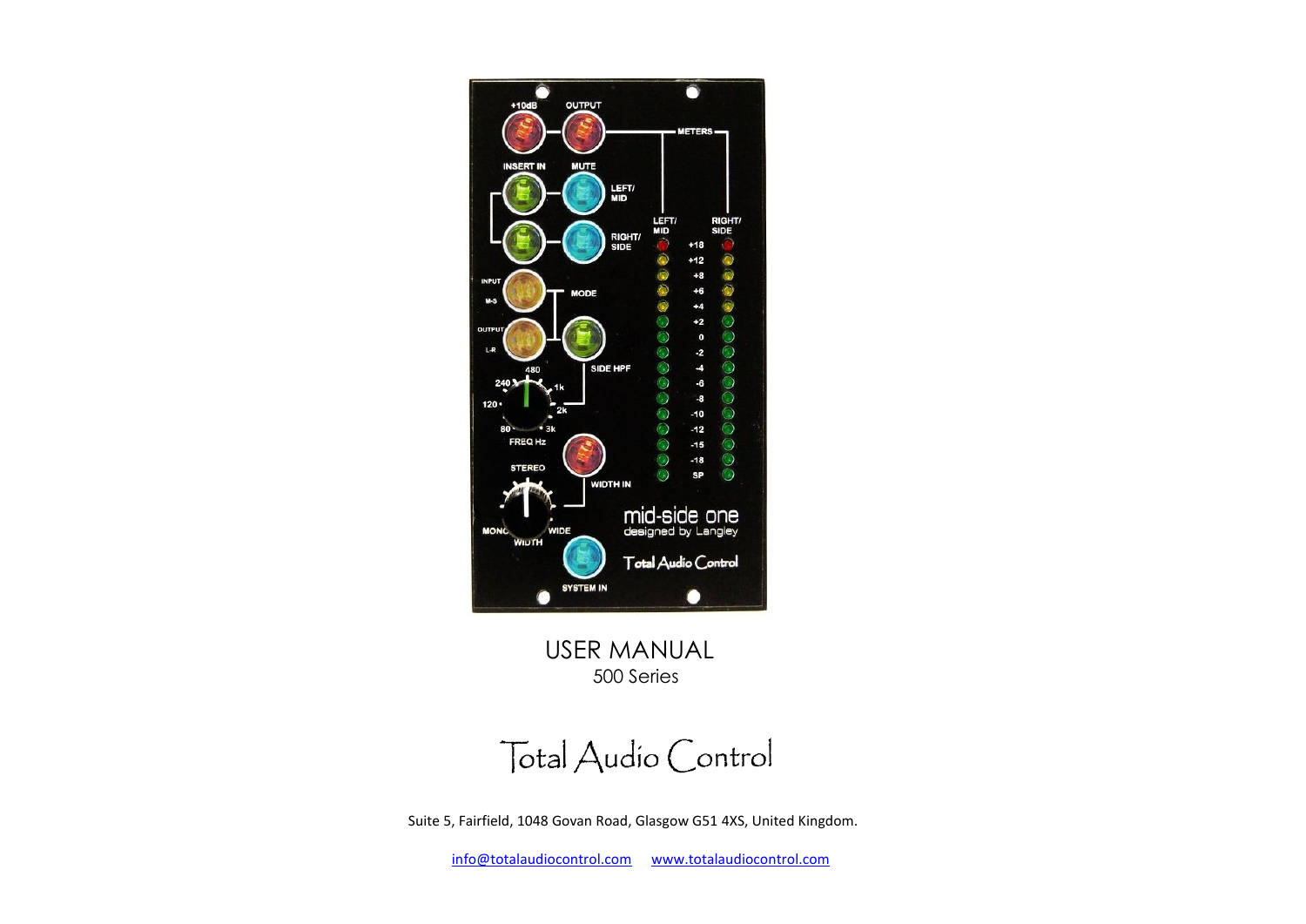

 USER MANUAL 500 Series

Total Audio Control

Suite 5, Fairfield, 1048 Govan Road, Glasgow G51 4XS, United Kingdom.

[info@totalaudiocontrol.com](mailto:info@totalaudiocontrol.com) [www.totalaudiocontrol.com](http://www.totalaudiocontrol.com/)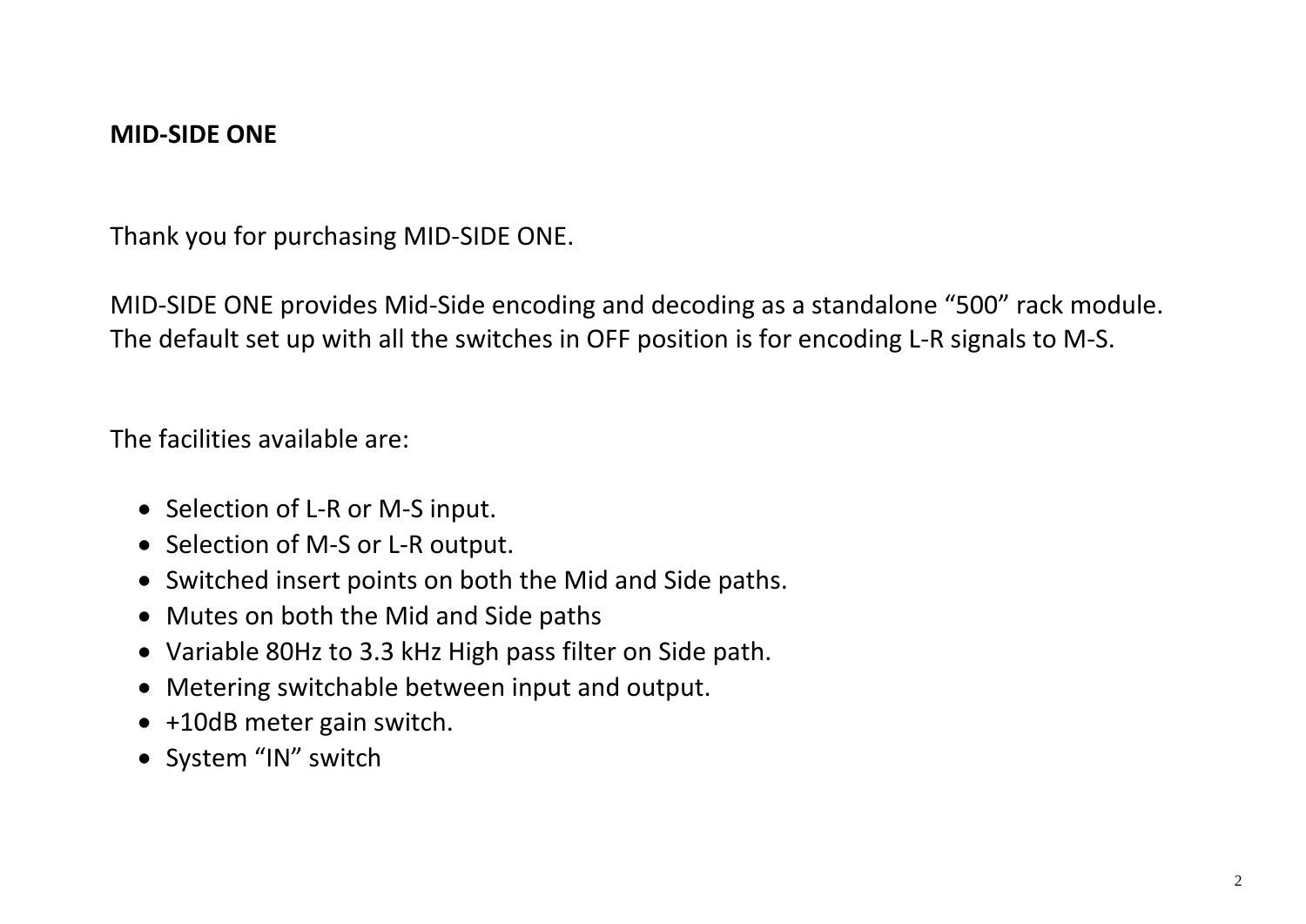Thank you for purchasing MID-SIDE ONE.

MID-SIDE ONE provides Mid-Side encoding and decoding as a standalone "500" rack module. The default set up with all the switches in OFF position is for encoding L-R signals to M-S.

The facilities available are:

- Selection of L-R or M-S input.
- Selection of M-S or L-R output.
- Switched insert points on both the Mid and Side paths.
- Mutes on both the Mid and Side paths
- Variable 80Hz to 3.3 kHz High pass filter on Side path.
- Metering switchable between input and output.
- +10dB meter gain switch.
- System "IN" switch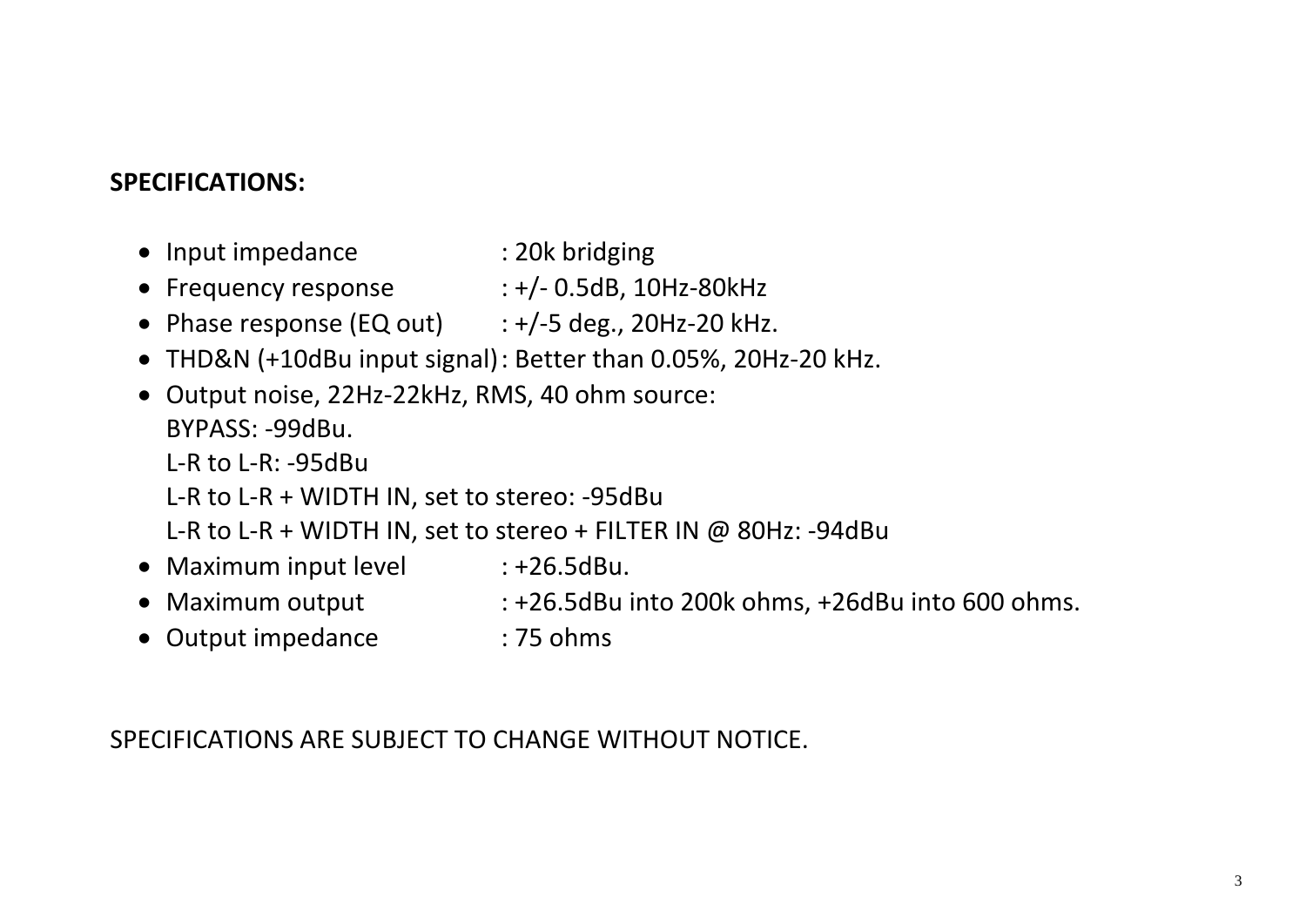## **SPECIFICATIONS:**

- Input impedance : 20k bridging
- Frequency response : +/- 0.5dB, 10Hz-80kHz
- Phase response (EQ out)  $\therefore$  +/-5 deg., 20Hz-20 kHz.
- THD&N (+10dBu input signal): Better than 0.05%, 20Hz-20 kHz.
- Output noise, 22Hz-22kHz, RMS, 40 ohm source: BYPASS: -99dBu.  $l-R$  to  $l-R$ :  $-95dBu$ L-R to L-R + WIDTH IN, set to stereo: -95dBu L-R to L-R + WIDTH IN, set to stereo + FILTER IN @ 80Hz: -94dBu
- Maximum input level : +26.5dBu.
- Maximum output : +26.5dBu into 200k ohms, +26dBu into 600 ohms.
- Output impedance : 75 ohms

SPECIFICATIONS ARE SUBJECT TO CHANGE WITHOUT NOTICE.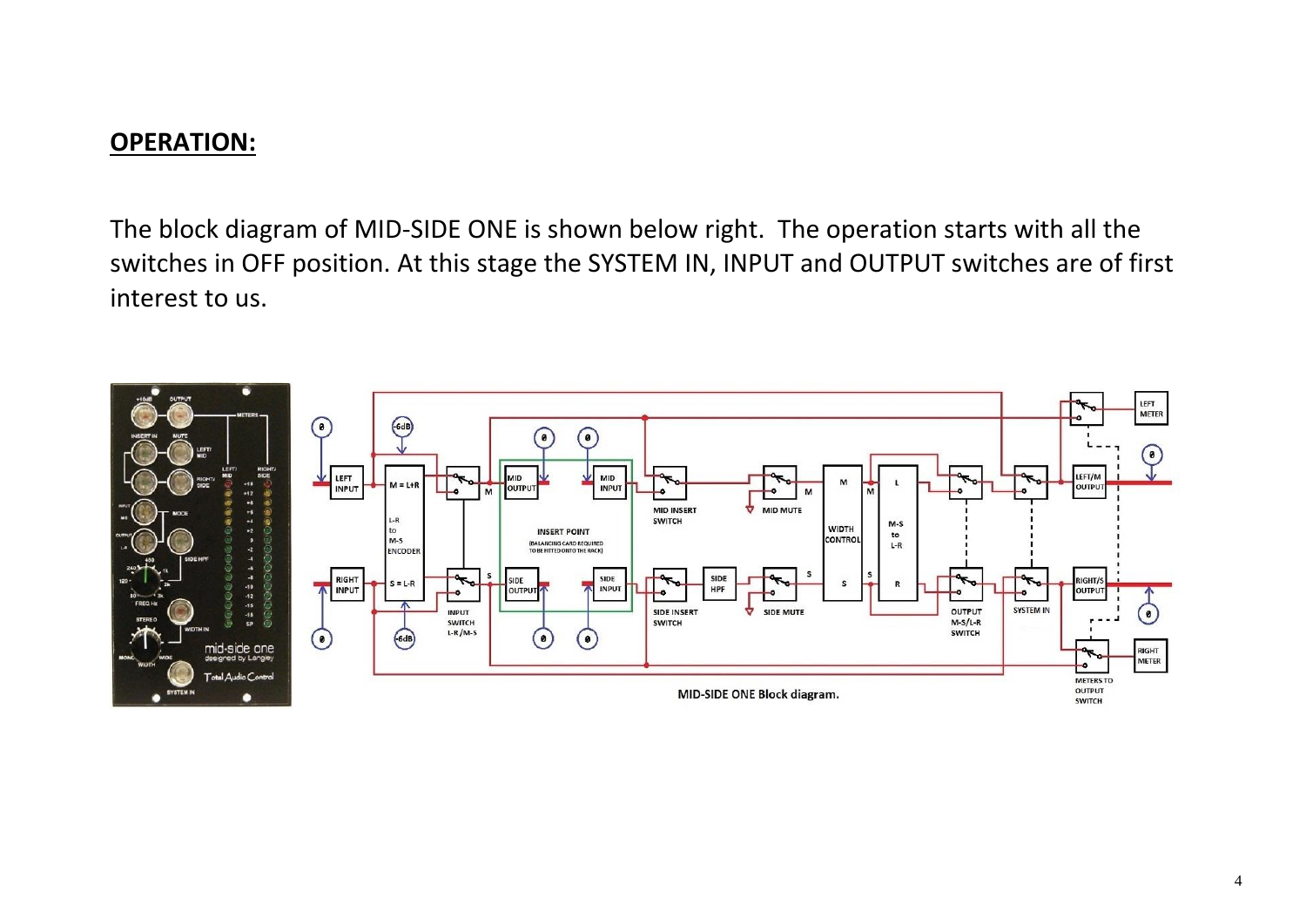## **OPERATION:**

The block diagram of MID-SIDE ONE is shown below right. The operation starts with all the switches in OFF position. At this stage the SYSTEM IN, INPUT and OUTPUT switches are of first interest to us.

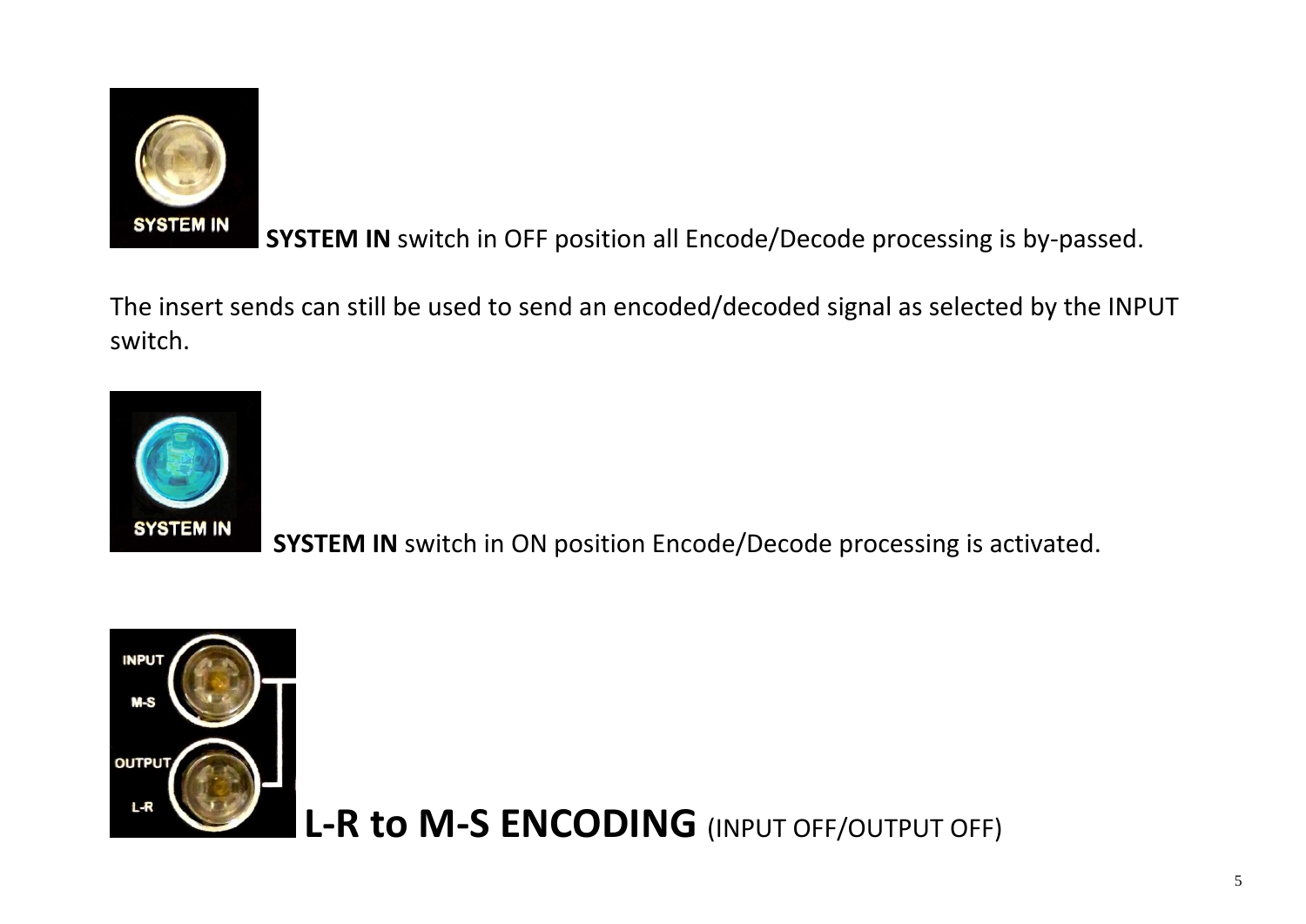

**SYSTEM IN** switch in OFF position all Encode/Decode processing is by-passed.

The insert sends can still be used to send an encoded/decoded signal as selected by the INPUT switch.



**SYSTEM IN** switch in ON position Encode/Decode processing is activated.



**L-R to M-S ENCODING** (INPUT OFF/OUTPUT OFF)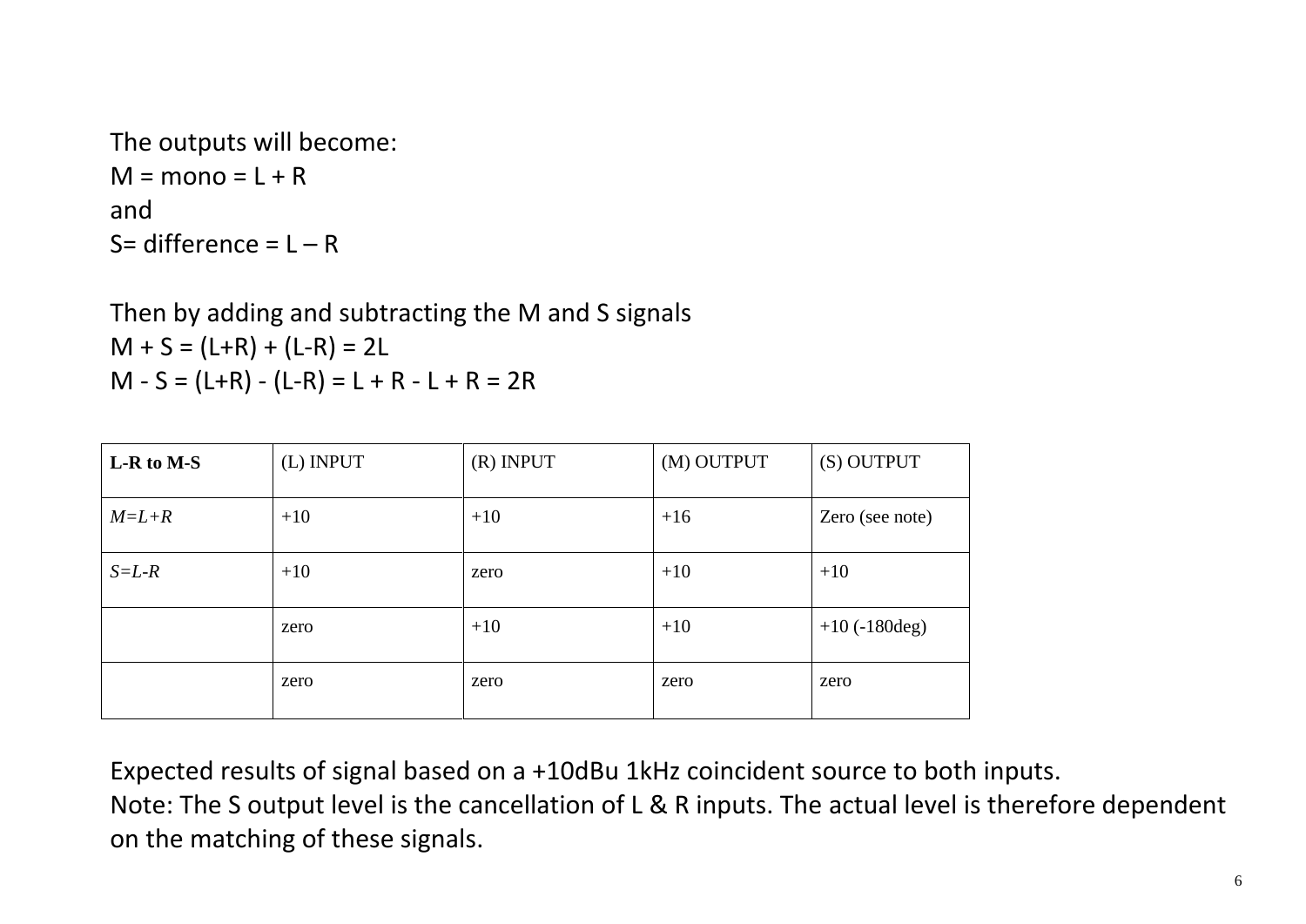The outputs will become:  $M =$ mono = L + R and S= difference =  $L - R$ 

Then by adding and subtracting the M and S signals  $M + S = (L+R) + (L-R) = 2L$  $M - S = (L + R) - (L - R) = L + R - L + R = 2R$ 

| L-R to M-S | (L) INPUT | $(R)$ INPUT | (M) OUTPUT | (S) OUTPUT          |
|------------|-----------|-------------|------------|---------------------|
| $M=L+R$    | $+10$     | $+10$       | $+16$      | Zero (see note)     |
| $S=L-R$    | $+10$     | zero        | $+10$      | $+10$               |
|            | zero      | $+10$       | $+10$      | $+10$ ( $-180$ deg) |
|            | zero      | zero        | zero       | zero                |

Expected results of signal based on a +10dBu 1kHz coincident source to both inputs. Note: The S output level is the cancellation of L & R inputs. The actual level is therefore dependent on the matching of these signals.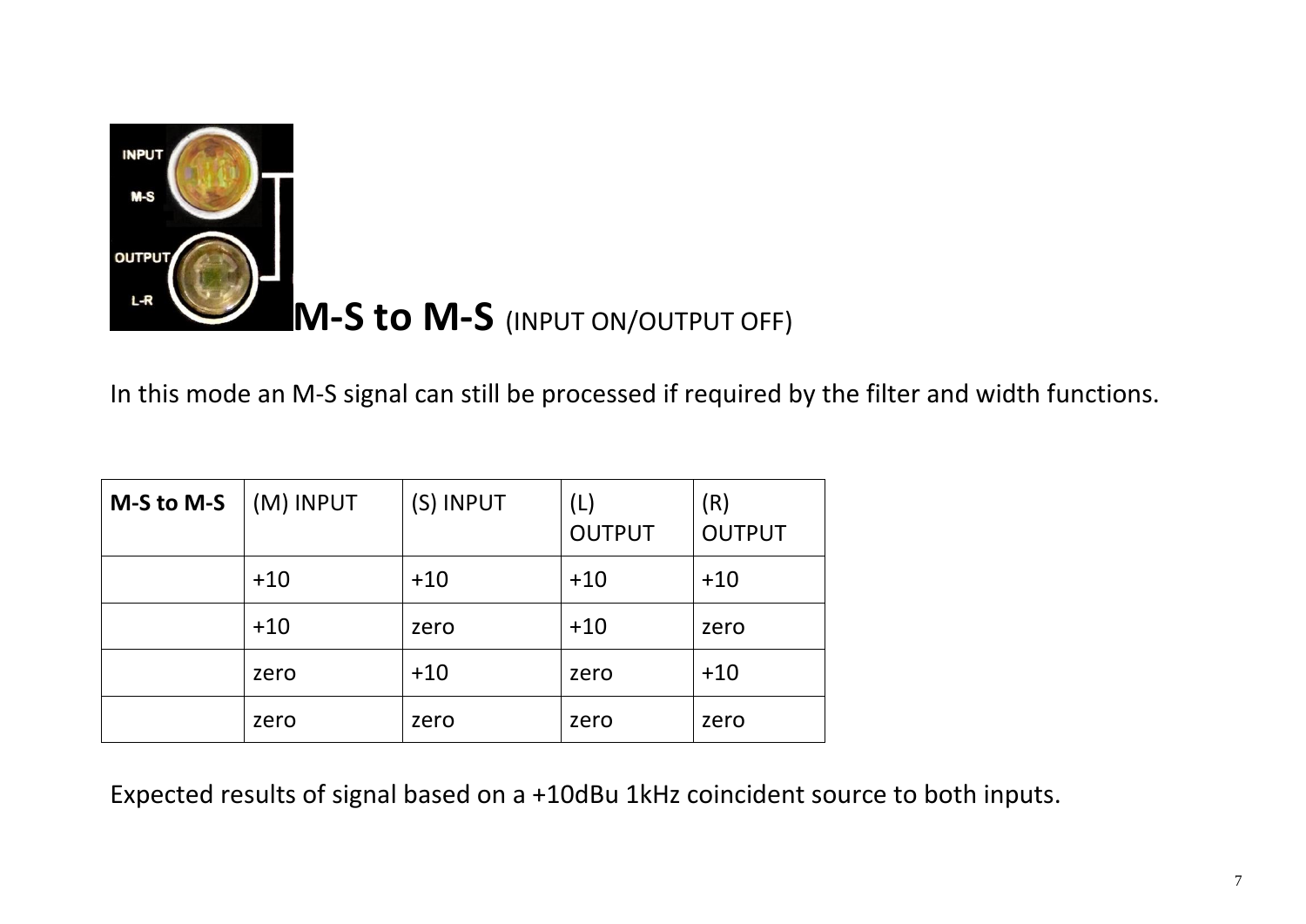

In this mode an M-S signal can still be processed if required by the filter and width functions.

| M-S to M-S | $ (M)$ INPUT | (S) INPUT | (L)<br><b>OUTPUT</b> | (R)<br><b>OUTPUT</b> |
|------------|--------------|-----------|----------------------|----------------------|
|            | $+10$        | $+10$     | $+10$                | $+10$                |
|            | $+10$        | zero      | $+10$                | zero                 |
|            | zero         | $+10$     | zero                 | $+10$                |
|            | zero         | zero      | zero                 | zero                 |

Expected results of signal based on a +10dBu 1kHz coincident source to both inputs.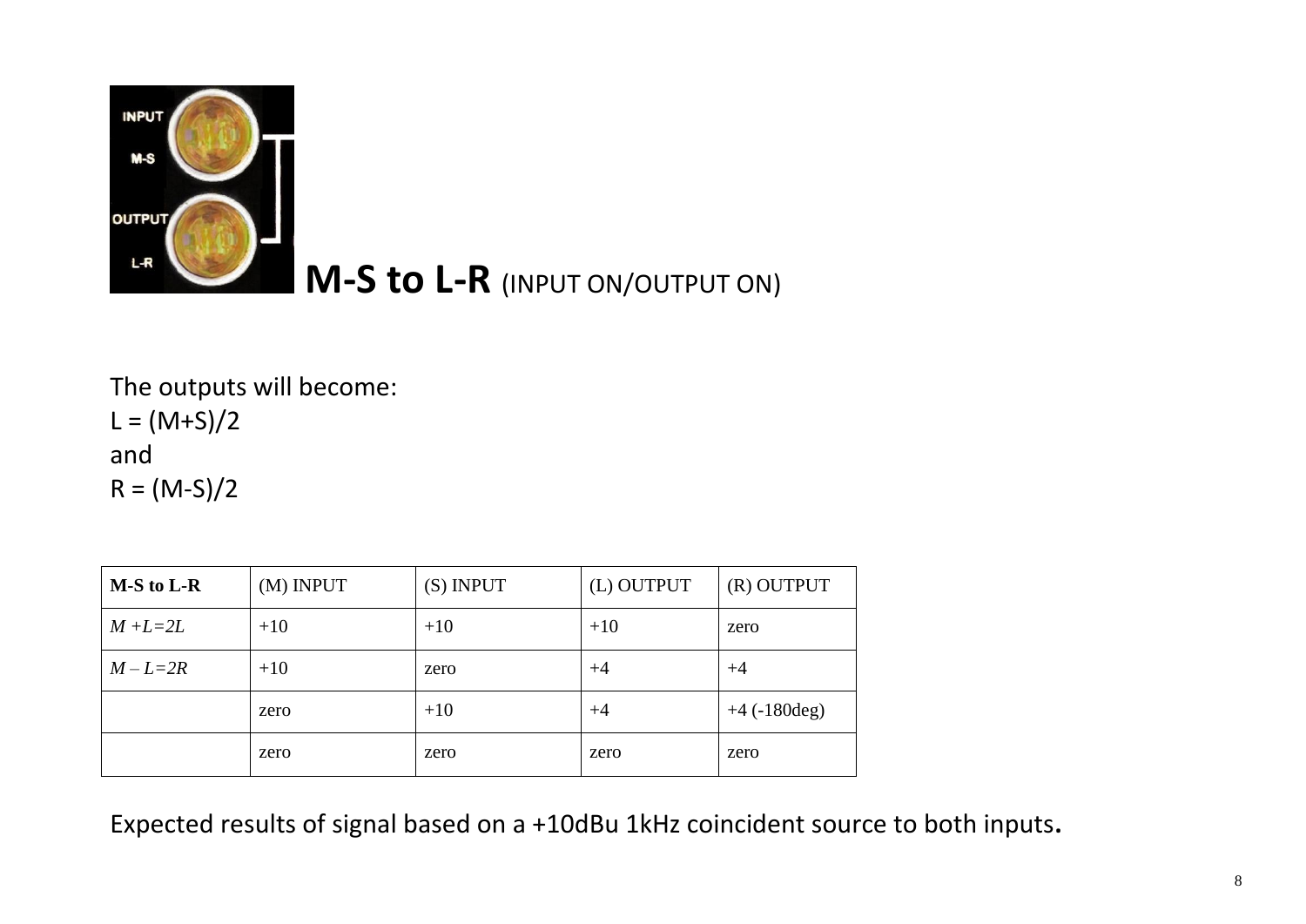

**M-S to L-R** (INPUT ON/OUTPUT ON)

The outputs will become:  $L = (M+S)/2$ and  $R = (M-S)/2$ 

| <b>M-S</b> to L-R | (M) INPUT | $(S)$ INPUT | (L) OUTPUT | $(R)$ OUTPUT   |
|-------------------|-----------|-------------|------------|----------------|
| $M + L = 2L$      | $+10$     | $+10$       | $+10$      | zero           |
| $M-L=2R$          | $+10$     | zero        | $+4$       | $+4$           |
|                   | zero      | $+10$       | $+4$       | $+4$ (-180deg) |
|                   | zero      | zero        | zero       | zero           |

Expected results of signal based on a +10dBu 1kHz coincident source to both inputs**.**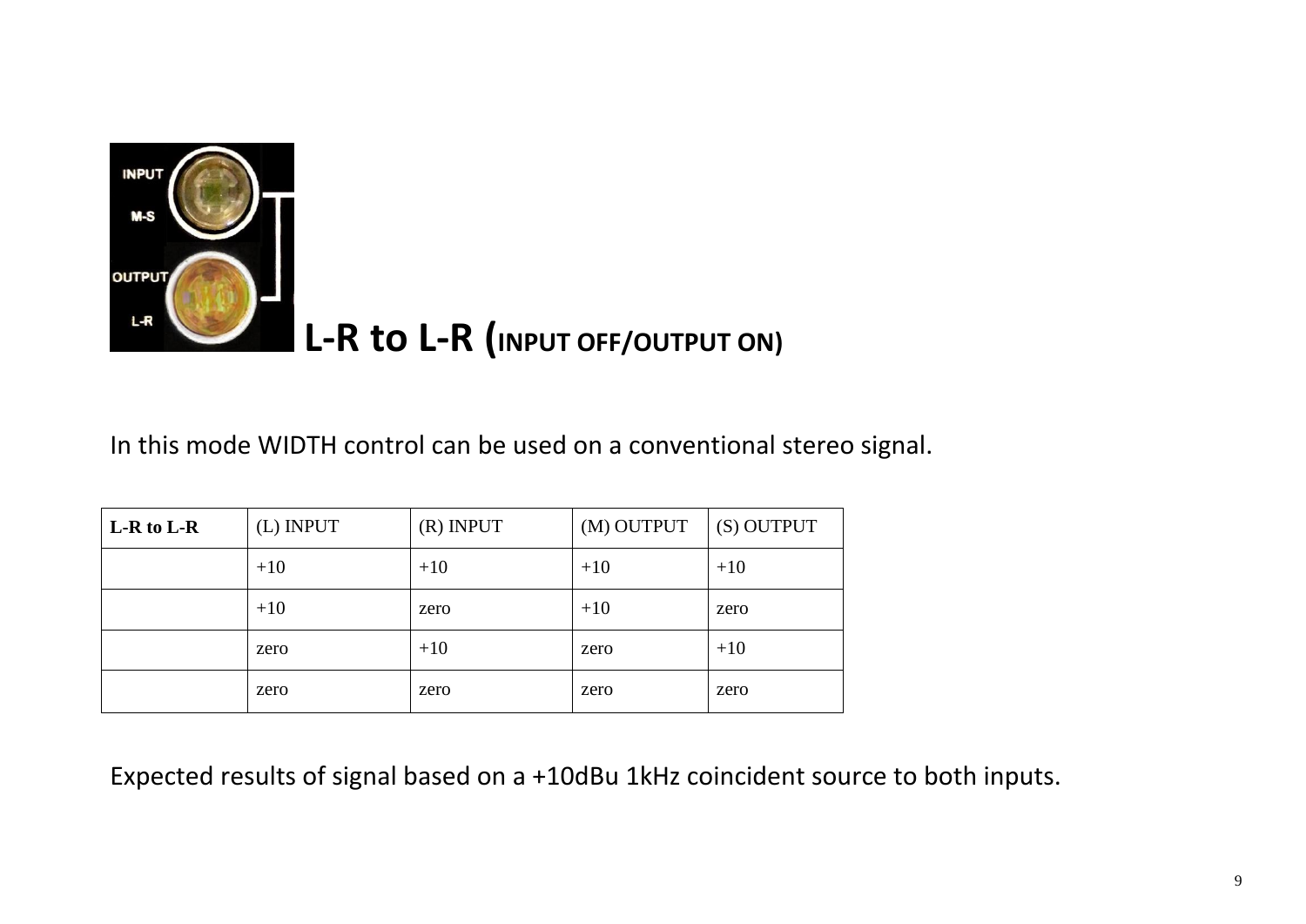

## **L-R to L-R (INPUT OFF/OUTPUT ON)**

In this mode WIDTH control can be used on a conventional stereo signal.

| $L-R$ to $L-R$ | (L) INPUT | $(R)$ INPUT | (M) OUTPUT | (S) OUTPUT |
|----------------|-----------|-------------|------------|------------|
|                | $+10$     | $+10$       | $+10$      | $+10$      |
|                | $+10$     | zero        | $+10$      | zero       |
|                | zero      | $+10$       | zero       | $+10$      |
|                | zero      | zero        | zero       | zero       |

Expected results of signal based on a +10dBu 1kHz coincident source to both inputs.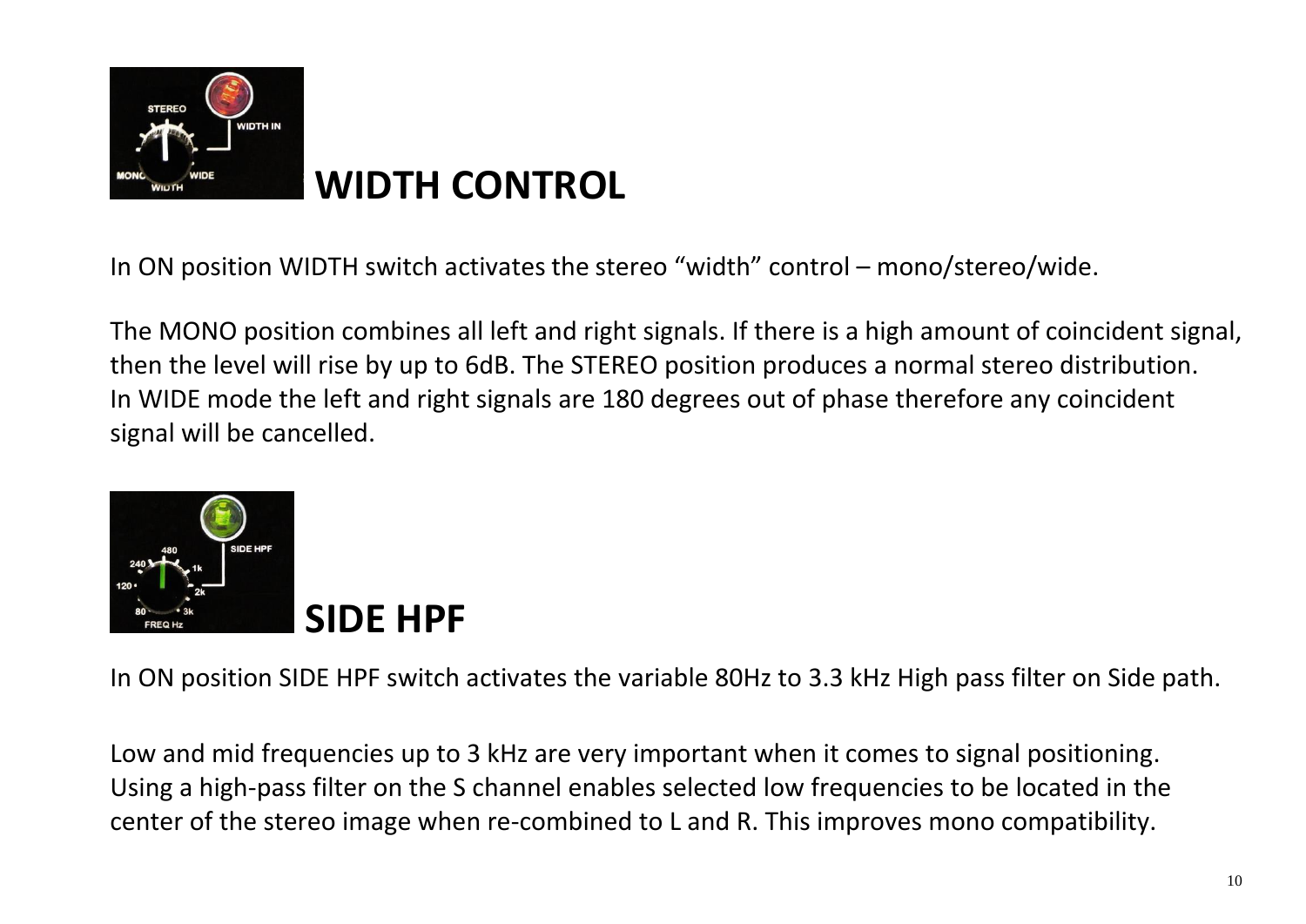

## **WIDTH CONTROL**

In ON position WIDTH switch activates the stereo "width" control – mono/stereo/wide.

The MONO position combines all left and right signals. If there is a high amount of coincident signal, then the level will rise by up to 6dB. The STEREO position produces a normal stereo distribution. In WIDE mode the left and right signals are 180 degrees out of phase therefore any coincident signal will be cancelled.



In ON position SIDE HPF switch activates the variable 80Hz to 3.3 kHz High pass filter on Side path.

Low and mid frequencies up to 3 kHz are very important when it comes to signal positioning. Using a high-pass filter on the S channel enables selected low frequencies to be located in the center of the stereo image when re-combined to L and R. This improves mono compatibility.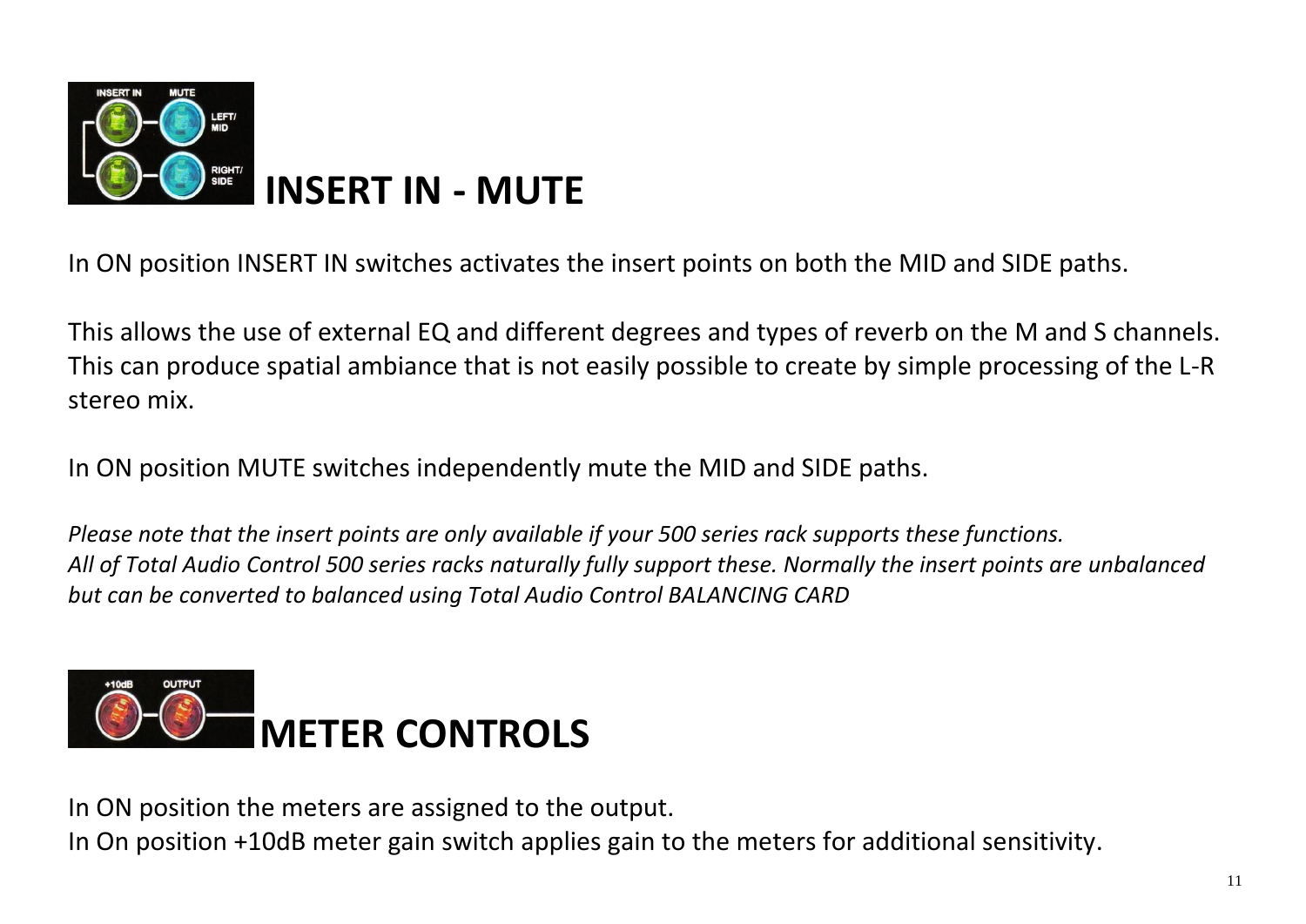

In ON position INSERT IN switches activates the insert points on both the MID and SIDE paths.

This allows the use of external EQ and different degrees and types of reverb on the M and S channels. This can produce spatial ambiance that is not easily possible to create by simple processing of the L-R stereo mix.

In ON position MUTE switches independently mute the MID and SIDE paths.

*Please note that the insert points are only available if your 500 series rack supports these functions. All of Total Audio Control 500 series racks naturally fully support these. Normally the insert points are unbalanced but can be converted to balanced using Total Audio Control BALANCING CARD*



In ON position the meters are assigned to the output.

In On position +10dB meter gain switch applies gain to the meters for additional sensitivity.